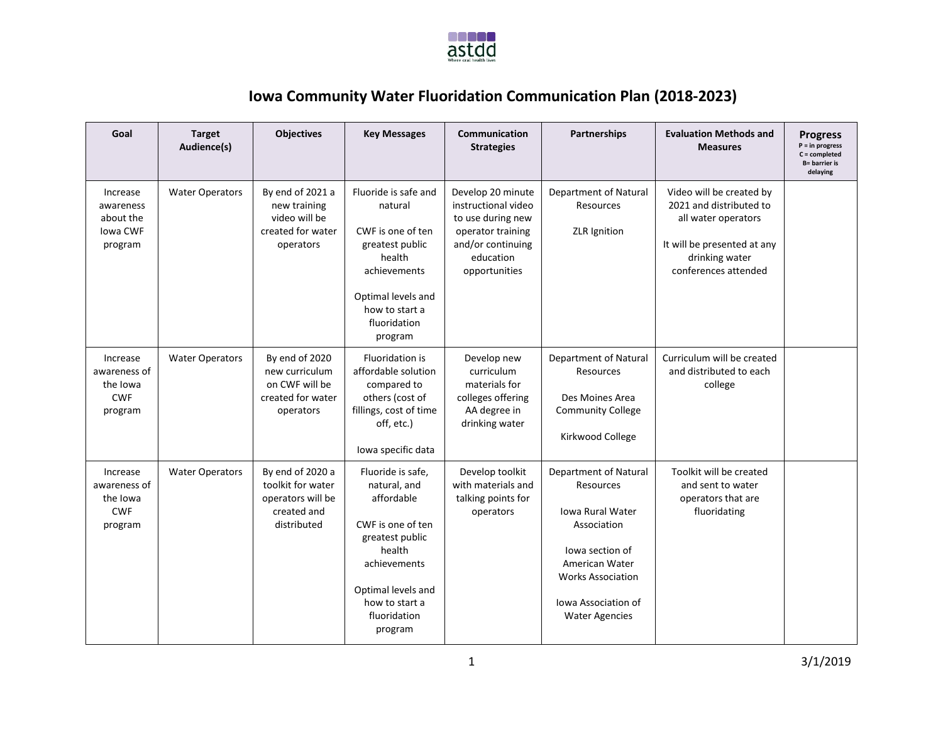

## **Iowa Community Water Fluoridation Communication Plan (2018-2023)**

| Goal                                                          | <b>Target</b><br>Audience(s) | <b>Objectives</b>                                                                        | <b>Key Messages</b>                                                                                                                                                                  | Communication<br><b>Strategies</b>                                                                                                    | <b>Partnerships</b>                                                                                                                                                                                  | <b>Evaluation Methods and</b><br><b>Measures</b>                                                                                                    | <b>Progress</b><br>$P = in progress$<br>$C = completed$<br><b>B</b> = barrier is<br>delaying |
|---------------------------------------------------------------|------------------------------|------------------------------------------------------------------------------------------|--------------------------------------------------------------------------------------------------------------------------------------------------------------------------------------|---------------------------------------------------------------------------------------------------------------------------------------|------------------------------------------------------------------------------------------------------------------------------------------------------------------------------------------------------|-----------------------------------------------------------------------------------------------------------------------------------------------------|----------------------------------------------------------------------------------------------|
| Increase<br>awareness<br>about the<br>Iowa CWF<br>program     | <b>Water Operators</b>       | By end of 2021 a<br>new training<br>video will be<br>created for water<br>operators      | Fluoride is safe and<br>natural<br>CWF is one of ten<br>greatest public<br>health<br>achievements<br>Optimal levels and<br>how to start a<br>fluoridation<br>program                 | Develop 20 minute<br>instructional video<br>to use during new<br>operator training<br>and/or continuing<br>education<br>opportunities | Department of Natural<br>Resources<br><b>ZLR</b> Ignition                                                                                                                                            | Video will be created by<br>2021 and distributed to<br>all water operators<br>It will be presented at any<br>drinking water<br>conferences attended |                                                                                              |
| Increase<br>awareness of<br>the Iowa<br><b>CWF</b><br>program | <b>Water Operators</b>       | By end of 2020<br>new curriculum<br>on CWF will be<br>created for water<br>operators     | <b>Fluoridation is</b><br>affordable solution<br>compared to<br>others (cost of<br>fillings, cost of time<br>off, etc.)<br>lowa specific data                                        | Develop new<br>curriculum<br>materials for<br>colleges offering<br>AA degree in<br>drinking water                                     | Department of Natural<br>Resources<br>Des Moines Area<br><b>Community College</b><br>Kirkwood College                                                                                                | Curriculum will be created<br>and distributed to each<br>college                                                                                    |                                                                                              |
| Increase<br>awareness of<br>the Iowa<br><b>CWF</b><br>program | <b>Water Operators</b>       | By end of 2020 a<br>toolkit for water<br>operators will be<br>created and<br>distributed | Fluoride is safe,<br>natural, and<br>affordable<br>CWF is one of ten<br>greatest public<br>health<br>achievements<br>Optimal levels and<br>how to start a<br>fluoridation<br>program | Develop toolkit<br>with materials and<br>talking points for<br>operators                                                              | Department of Natural<br>Resources<br><b>Iowa Rural Water</b><br>Association<br>lowa section of<br>American Water<br><b>Works Association</b><br><b>Iowa Association of</b><br><b>Water Agencies</b> | Toolkit will be created<br>and sent to water<br>operators that are<br>fluoridating                                                                  |                                                                                              |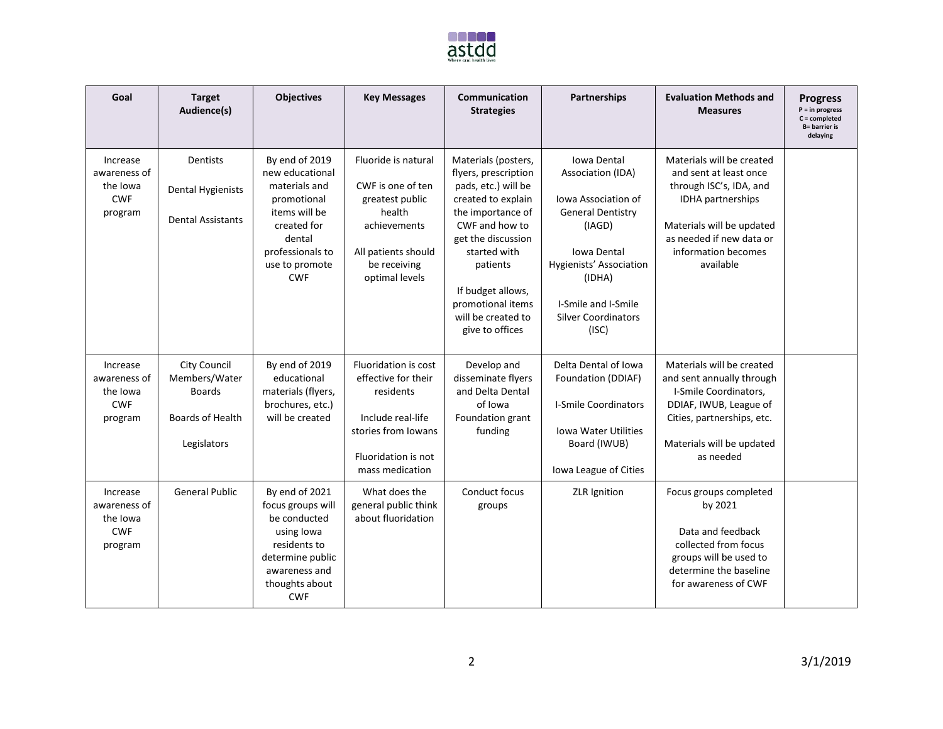

| Goal                                                          | <b>Target</b><br>Audience(s)                                                             | <b>Objectives</b>                                                                                                                                               | <b>Key Messages</b>                                                                                                                            | Communication<br><b>Strategies</b>                                                                                                                                                                                                                                   | <b>Partnerships</b>                                                                                                                                                                                                    | <b>Evaluation Methods and</b><br><b>Measures</b>                                                                                                                                                 | <b>Progress</b><br>$P = in progress$<br>$C = completed$<br><b>B</b> = barrier is<br>delaying |
|---------------------------------------------------------------|------------------------------------------------------------------------------------------|-----------------------------------------------------------------------------------------------------------------------------------------------------------------|------------------------------------------------------------------------------------------------------------------------------------------------|----------------------------------------------------------------------------------------------------------------------------------------------------------------------------------------------------------------------------------------------------------------------|------------------------------------------------------------------------------------------------------------------------------------------------------------------------------------------------------------------------|--------------------------------------------------------------------------------------------------------------------------------------------------------------------------------------------------|----------------------------------------------------------------------------------------------|
| Increase<br>awareness of<br>the Iowa<br><b>CWF</b><br>program | <b>Dentists</b><br><b>Dental Hygienists</b><br><b>Dental Assistants</b>                  | By end of 2019<br>new educational<br>materials and<br>promotional<br>items will be<br>created for<br>dental<br>professionals to<br>use to promote<br><b>CWF</b> | Fluoride is natural<br>CWF is one of ten<br>greatest public<br>health<br>achievements<br>All patients should<br>be receiving<br>optimal levels | Materials (posters,<br>flyers, prescription<br>pads, etc.) will be<br>created to explain<br>the importance of<br>CWF and how to<br>get the discussion<br>started with<br>patients<br>If budget allows,<br>promotional items<br>will be created to<br>give to offices | Iowa Dental<br>Association (IDA)<br><b>Iowa Association of</b><br><b>General Dentistry</b><br>(IAGD)<br>Iowa Dental<br>Hygienists' Association<br>(IDHA)<br>I-Smile and I-Smile<br><b>Silver Coordinators</b><br>(ISC) | Materials will be created<br>and sent at least once<br>through ISC's, IDA, and<br>IDHA partnerships<br>Materials will be updated<br>as needed if new data or<br>information becomes<br>available |                                                                                              |
| Increase<br>awareness of<br>the Iowa<br><b>CWF</b><br>program | <b>City Council</b><br>Members/Water<br><b>Boards</b><br>Boards of Health<br>Legislators | By end of 2019<br>educational<br>materials (flyers,<br>brochures, etc.)<br>will be created                                                                      | Fluoridation is cost<br>effective for their<br>residents<br>Include real-life<br>stories from Iowans<br>Fluoridation is not<br>mass medication | Develop and<br>disseminate flyers<br>and Delta Dental<br>of Iowa<br>Foundation grant<br>funding                                                                                                                                                                      | Delta Dental of Iowa<br>Foundation (DDIAF)<br><b>I-Smile Coordinators</b><br><b>Iowa Water Utilities</b><br>Board (IWUB)<br>Iowa League of Cities                                                                      | Materials will be created<br>and sent annually through<br>I-Smile Coordinators,<br>DDIAF, IWUB, League of<br>Cities, partnerships, etc.<br>Materials will be updated<br>as needed                |                                                                                              |
| Increase<br>awareness of<br>the Iowa<br><b>CWF</b><br>program | <b>General Public</b>                                                                    | By end of 2021<br>focus groups will<br>be conducted<br>using lowa<br>residents to<br>determine public<br>awareness and<br>thoughts about<br><b>CWF</b>          | What does the<br>general public think<br>about fluoridation                                                                                    | Conduct focus<br>groups                                                                                                                                                                                                                                              | ZLR Ignition                                                                                                                                                                                                           | Focus groups completed<br>by 2021<br>Data and feedback<br>collected from focus<br>groups will be used to<br>determine the baseline<br>for awareness of CWF                                       |                                                                                              |